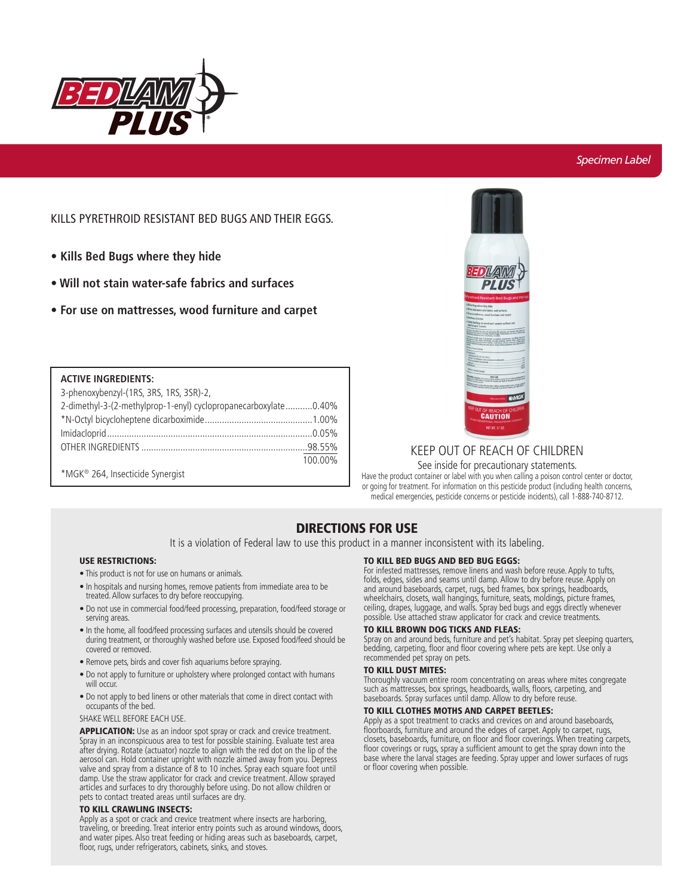

### *Specimen Label*

## KILLS PYRETHROID RESISTANT BED BUGS AND THEIR EGGS.

- **Kills Bed Bugs where they hide**
- **Will not stain water-safe fabrics and surfaces**
- **For use on mattresses, wood furniture and carpet**

#### **ACTIVE INGREDIENTS:**

| 3-phenoxybenzyl-(1RS, 3RS, 1RS, 3SR)-2,                         |         |
|-----------------------------------------------------------------|---------|
| 2-dimethyl-3-(2-methylprop-1-enyl) cyclopropanecarboxylate0.40% |         |
|                                                                 |         |
|                                                                 |         |
|                                                                 |         |
|                                                                 | 100.00% |
| *MGK <sup>®</sup> 264, Insecticide Synergist                    |         |



# KEEP OUT OF REACH OF CHILDREN

#### See inside for precautionary statements.

Have the product container or label with you when calling a poison control center or doctor, or going for treatment. For information on this pesticide product (including health concerns, medical emergencies, pesticide concerns or pesticide incidents), call 1-888-740-8712.

# DIRECTIONS FOR USE

It is a violation of Federal law to use this product in a manner inconsistent with its labeling.

#### USE RESTRICTIONS:

- This product is not for use on humans or animals.
- In hospitals and nursing homes, remove patients from immediate area to be treated. Allow surfaces to dry before reoccupying.
- Do not use in commercial food/feed processing, preparation, food/feed storage or serving areas.
- In the home, all food/feed processing surfaces and utensils should be covered during treatment, or thoroughly washed before use. Exposed food/feed should be covered or removed.
- Remove pets, birds and cover fish aquariums before spraying.
- Do not apply to furniture or upholstery where prolonged contact with humans will occur.
- Do not apply to bed linens or other materials that come in direct contact with occupants of the bed.

#### SHAKE WELL BEFORE EACH USE.

APPLICATION: Use as an indoor spot spray or crack and crevice treatment. Spray in an inconspicuous area to test for possible staining. Evaluate test area after drying. Rotate (actuator) nozzle to align with the red dot on the lip of the aerosol can. Hold container upright with nozzle aimed away from you. Depress valve and spray from a distance of 8 to 10 inches. Spray each square foot until damp. Use the straw applicator for crack and crevice treatment. Allow sprayed articles and surfaces to dry thoroughly before using. Do not allow children or pets to contact treated areas until surfaces are dry.

#### TO KILL CRAWLING INSECTS:

Apply as a spot or crack and crevice treatment where insects are harboring, traveling, or breeding. Treat interior entry points such as around windows, doors, and water pipes. Also treat feeding or hiding areas such as baseboards, carpet, floor, rugs, under refrigerators, cabinets, sinks, and stoves.

#### TO KILL BED BUGS AND BED BUG EGGS:

For infested mattresses, remove linens and wash before reuse. Apply to tufts, folds, edges, sides and seams until damp. Allow to dry before reuse. Apply on and around baseboards, carpet, rugs, bed frames, box springs, headboards, wheelchairs, closets, wall hangings, furniture, seats, moldings, picture frames, ceiling, drapes, luggage, and walls. Spray bed bugs and eggs directly whenever possible. Use attached straw applicator for crack and crevice treatments.

#### TO KILL BROWN DOG TICKS AND FLEAS:

Spray on and around beds, furniture and pet's habitat. Spray pet sleeping quarters, bedding, carpeting, floor and floor covering where pets are kept. Use only a recommended pet spray on pets.

#### TO KILL DUST MITES:

Thoroughly vacuum entire room concentrating on areas where mites congregate such as mattresses, box springs, headboards, walls, floors, carpeting, and baseboards. Spray surfaces until damp. Allow to dry before reuse.

#### TO KILL CLOTHES MOTHS AND CARPET BEETLES:

Apply as a spot treatment to cracks and crevices on and around baseboards, floorboards, furniture and around the edges of carpet. Apply to carpet, rugs, closets, baseboards, furniture, on floor and floor coverings. When treating carpets, floor coverings or rugs, spray a sufficient amount to get the spray down into the base where the larval stages are feeding. Spray upper and lower surfaces of rugs or floor covering when possible.